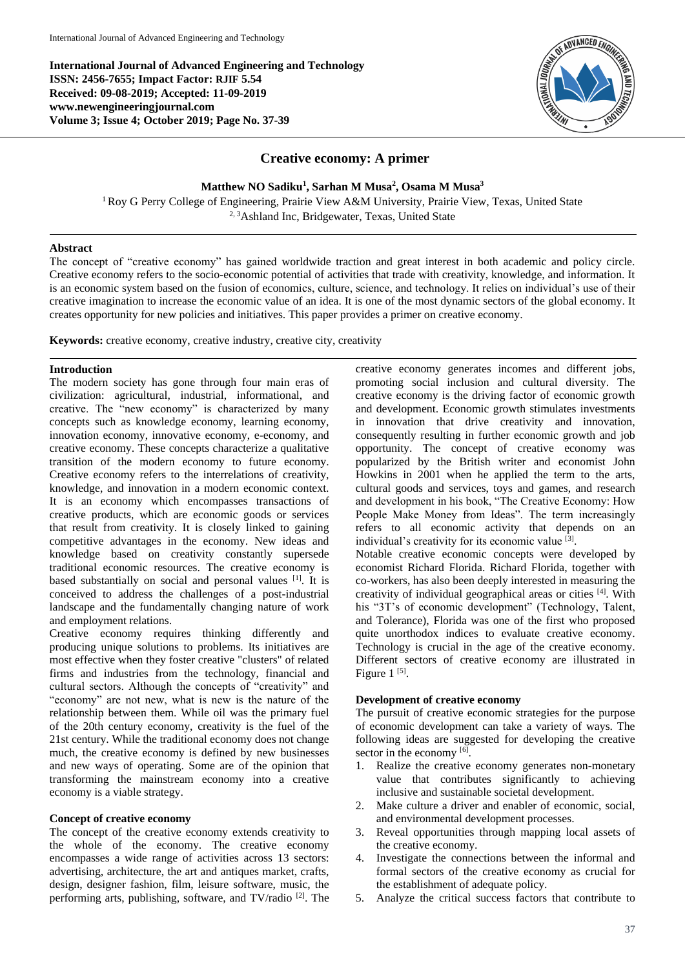**International Journal of Advanced Engineering and Technology ISSN: 2456-7655; Impact Factor: RJIF 5.54 Received: 09-08-2019; Accepted: 11-09-2019 www.newengineeringjournal.com Volume 3; Issue 4; October 2019; Page No. 37-39**



# **Creative economy: A primer**

**Matthew NO Sadiku<sup>1</sup> , Sarhan M Musa<sup>2</sup> , Osama M Musa<sup>3</sup>**

<sup>1</sup>Roy G Perry College of Engineering, Prairie View A&M University, Prairie View, Texas, United State <sup>2, 3</sup>Ashland Inc, Bridgewater, Texas, United State

#### **Abstract**

The concept of "creative economy" has gained worldwide traction and great interest in both academic and policy circle. Creative economy refers to the socio-economic potential of activities that trade with creativity, knowledge, and information. It is an economic system based on the fusion of economics, culture, science, and technology. It relies on individual's use of their creative imagination to increase the economic value of an idea. It is one of the most dynamic sectors of the global economy. It creates opportunity for new policies and initiatives. This paper provides a primer on creative economy.

**Keywords:** creative economy, creative industry, creative city, creativity

#### **Introduction**

The modern society has gone through four main eras of civilization: agricultural, industrial, informational, and creative. The "new economy" is characterized by many concepts such as knowledge economy, learning economy, innovation economy, innovative economy, e-economy, and creative economy. These concepts characterize a qualitative transition of the modern economy to future economy. Creative economy refers to the interrelations of creativity, knowledge, and innovation in a modern economic context. It is an economy which encompasses transactions of creative products, which are economic goods or services that result from creativity. It is closely linked to gaining competitive advantages in the economy. New ideas and knowledge based on creativity constantly supersede traditional economic resources. The creative economy is based substantially on social and personal values [1]. It is conceived to address the challenges of a post-industrial landscape and the fundamentally changing nature of work and employment relations.

Creative economy requires thinking differently and producing unique solutions to problems. Its initiatives are most effective when they foster creative "clusters" of related firms and industries from the technology, financial and cultural sectors. Although the concepts of "creativity" and "economy" are not new, what is new is the nature of the relationship between them. While oil was the primary fuel of the 20th century economy, creativity is the fuel of the 21st century. While the traditional economy does not change much, the creative economy is defined by new businesses and new ways of operating. Some are of the opinion that transforming the mainstream economy into a creative economy is a viable strategy.

#### **Concept of creative economy**

The concept of the creative economy extends creativity to the whole of the economy. The creative economy encompasses a wide range of activities across 13 sectors: advertising, architecture, the art and antiques market, crafts, design, designer fashion, film, leisure software, music, the performing arts, publishing, software, and TV/radio <sup>[2]</sup>. The creative economy generates incomes and different jobs, promoting social inclusion and cultural diversity. The creative economy is the driving factor of economic growth and development. Economic growth stimulates investments in innovation that drive creativity and innovation, consequently resulting in further economic growth and job opportunity. The concept of creative economy was popularized by the British writer and economist John Howkins in 2001 when he applied the term to the arts, cultural goods and services, toys and games, and research and development in his book, "The Creative Economy: How People Make Money from Ideas". The term increasingly refers to all economic activity that depends on an individual's creativity for its economic value [3]. Notable creative economic concepts were developed by economist Richard Florida. Richard Florida, together with co-workers, has also been deeply interested in measuring the creativity of individual geographical areas or cities [4] . With his "3T's of economic development" (Technology, Talent, and Tolerance), Florida was one of the first who proposed

quite unorthodox indices to evaluate creative economy. Technology is crucial in the age of the creative economy. Different sectors of creative economy are illustrated in Figure  $1^{[5]}$ .

# **Development of creative economy**

The pursuit of creative economic strategies for the purpose of economic development can take a variety of ways. The following ideas are suggested for developing the creative sector in the economy [6].

- 1. Realize the creative economy generates non-monetary value that contributes significantly to achieving inclusive and sustainable societal development.
- 2. Make culture a driver and enabler of economic, social, and environmental development processes.
- 3. Reveal opportunities through mapping local assets of the creative economy.
- 4. Investigate the connections between the informal and formal sectors of the creative economy as crucial for the establishment of adequate policy.
- 5. Analyze the critical success factors that contribute to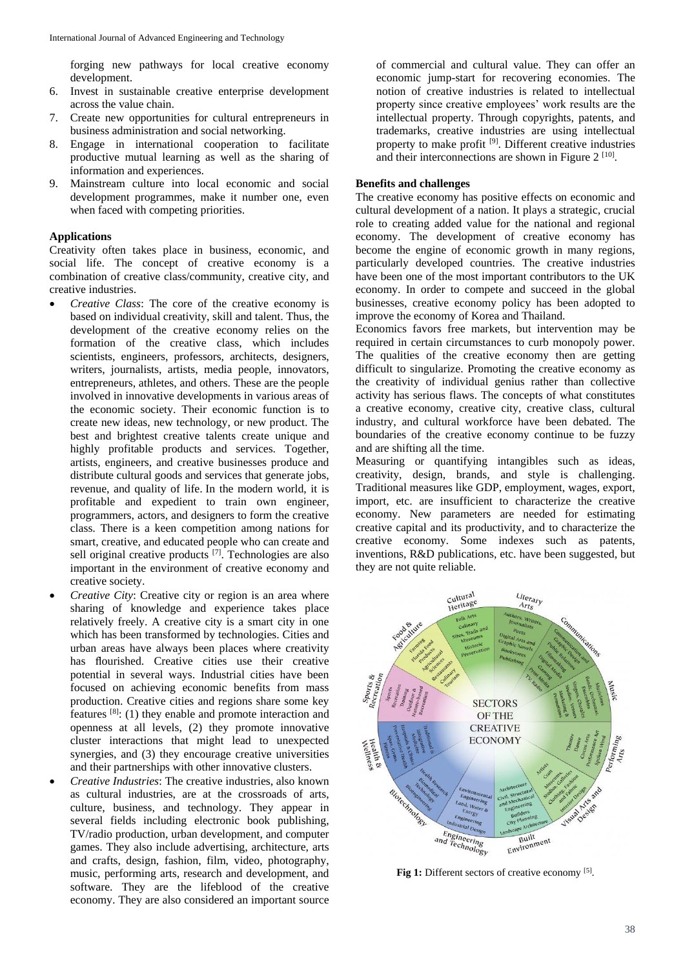forging new pathways for local creative economy development.

- 6. Invest in sustainable creative enterprise development across the value chain.
- 7. Create new opportunities for cultural entrepreneurs in business administration and social networking.
- 8. Engage in international cooperation to facilitate productive mutual learning as well as the sharing of information and experiences.
- 9. Mainstream culture into local economic and social development programmes, make it number one, even when faced with competing priorities.

#### **Applications**

Creativity often takes place in business, economic, and social life. The concept of creative economy is a combination of creative class/community, creative city, and creative industries.

- *Creative Class*: The core of the creative economy is based on individual creativity, skill and talent. Thus, the development of the creative economy relies on the formation of the creative class, which includes scientists, engineers, professors, architects, designers, writers, journalists, artists, media people, innovators, entrepreneurs, athletes, and others. These are the people involved in innovative developments in various areas of the economic society. Their economic function is to create new ideas, new technology, or new product. The best and brightest creative talents create unique and highly profitable products and services. Together, artists, engineers, and creative businesses produce and distribute cultural goods and services that generate jobs, revenue, and quality of life. In the modern world, it is profitable and expedient to train own engineer, programmers, actors, and designers to form the creative class. There is a keen competition among nations for smart, creative, and educated people who can create and sell original creative products [7]. Technologies are also important in the environment of creative economy and creative society.
- *Creative City*: Creative city or region is an area where sharing of knowledge and experience takes place relatively freely. A creative city is a smart city in one which has been transformed by technologies. Cities and urban areas have always been places where creativity has flourished. Creative cities use their creative potential in several ways. Industrial cities have been focused on achieving economic benefits from mass production. Creative cities and regions share some key features  $[8]$ : (1) they enable and promote interaction and openness at all levels, (2) they promote innovative cluster interactions that might lead to unexpected synergies, and (3) they encourage creative universities and their partnerships with other innovative clusters.
- *Creative Industries*: The creative industries, also known as cultural industries, are at the crossroads of arts, culture, business, and technology. They appear in several fields including electronic book publishing, TV/radio production, urban development, and computer games. They also include advertising, architecture, arts and crafts, design, fashion, film, video, photography, music, performing arts, research and development, and software. They are the lifeblood of the creative economy. They are also considered an important source

of commercial and cultural value. They can offer an economic jump-start for recovering economies. The notion of creative industries is related to intellectual property since creative employees' work results are the intellectual property. Through copyrights, patents, and trademarks, creative industries are using intellectual property to make profit<sup>[9]</sup>. Different creative industries and their interconnections are shown in Figure  $2^{[10]}$ .

### **Benefits and challenges**

The creative economy has positive effects on economic and cultural development of a nation. It plays a strategic, crucial role to creating added value for the national and regional economy. The development of creative economy has become the engine of economic growth in many regions, particularly developed countries. The creative industries have been one of the most important contributors to the UK economy. In order to compete and succeed in the global businesses, creative economy policy has been adopted to improve the economy of Korea and Thailand.

Economics favors free markets, but intervention may be required in certain circumstances to curb monopoly power. The qualities of the creative economy then are getting difficult to singularize. Promoting the creative economy as the creativity of individual genius rather than collective activity has serious flaws. The concepts of what constitutes a creative economy, creative city, creative class, cultural industry, and cultural workforce have been debated. The boundaries of the creative economy continue to be fuzzy and are shifting all the time.

Measuring or quantifying intangibles such as ideas, creativity, design, brands, and style is challenging. Traditional measures like GDP, employment, wages, export, import, etc. are insufficient to characterize the creative economy. New parameters are needed for estimating creative capital and its productivity, and to characterize the creative economy. Some indexes such as patents, inventions, R&D publications, etc. have been suggested, but they are not quite reliable.



Fig 1: Different sectors of creative economy [5].